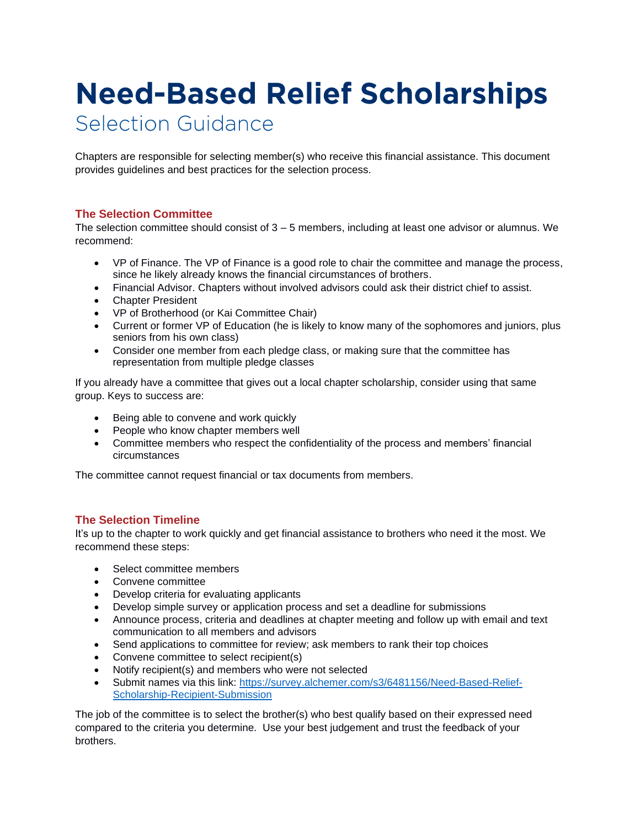# **Need-Based Relief Scholarships** Selection Guidance

Chapters are responsible for selecting member(s) who receive this financial assistance. This document provides guidelines and best practices for the selection process.

## **The Selection Committee**

The selection committee should consist of 3 – 5 members, including at least one advisor or alumnus. We recommend:

- VP of Finance. The VP of Finance is a good role to chair the committee and manage the process, since he likely already knows the financial circumstances of brothers.
- Financial Advisor. Chapters without involved advisors could ask their district chief to assist.
- Chapter President
- VP of Brotherhood (or Kai Committee Chair)
- Current or former VP of Education (he is likely to know many of the sophomores and juniors, plus seniors from his own class)
- Consider one member from each pledge class, or making sure that the committee has representation from multiple pledge classes

If you already have a committee that gives out a local chapter scholarship, consider using that same group. Keys to success are:

- Being able to convene and work quickly
- People who know chapter members well
- Committee members who respect the confidentiality of the process and members' financial circumstances

The committee cannot request financial or tax documents from members.

#### **The Selection Timeline**

It's up to the chapter to work quickly and get financial assistance to brothers who need it the most. We recommend these steps:

- Select committee members
- Convene committee
- Develop criteria for evaluating applicants
- Develop simple survey or application process and set a deadline for submissions
- Announce process, criteria and deadlines at chapter meeting and follow up with email and text communication to all members and advisors
- Send applications to committee for review; ask members to rank their top choices
- Convene committee to select recipient(s)
- Notify recipient(s) and members who were not selected
- Submit names via this link: [https://survey.alchemer.com/s3/6481156/Need-Based-Relief-](https://survey.alchemer.com/s3/6481156/Need-Based-Relief-Scholarship-Recipient-Submission)[Scholarship-Recipient-Submission](https://survey.alchemer.com/s3/6481156/Need-Based-Relief-Scholarship-Recipient-Submission)

The job of the committee is to select the brother(s) who best qualify based on their expressed need compared to the criteria you determine. Use your best judgement and trust the feedback of your brothers.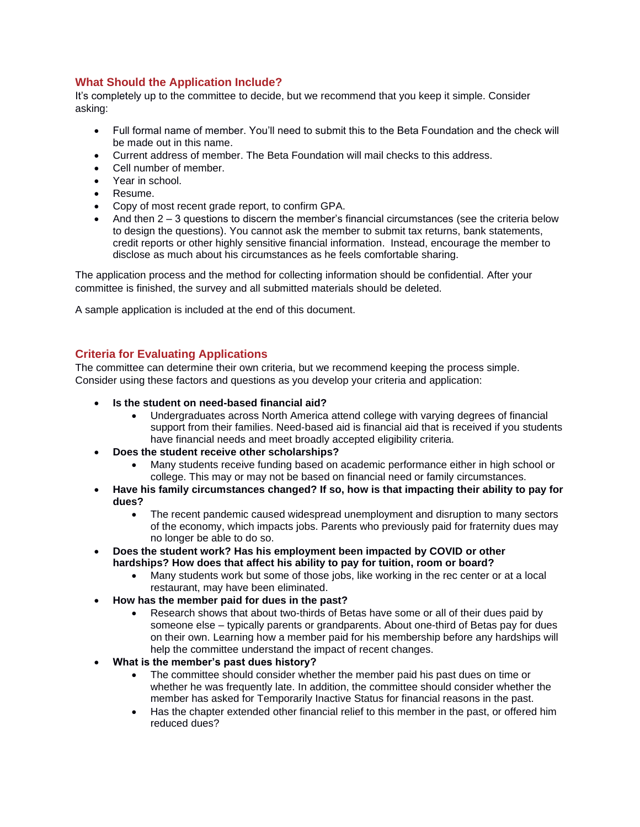## **What Should the Application Include?**

It's completely up to the committee to decide, but we recommend that you keep it simple. Consider asking:

- Full formal name of member. You'll need to submit this to the Beta Foundation and the check will be made out in this name.
- Current address of member. The Beta Foundation will mail checks to this address.
- Cell number of member.
- Year in school
- Resume.
- Copy of most recent grade report, to confirm GPA.
- And then  $2 3$  questions to discern the member's financial circumstances (see the criteria below to design the questions). You cannot ask the member to submit tax returns, bank statements, credit reports or other highly sensitive financial information. Instead, encourage the member to disclose as much about his circumstances as he feels comfortable sharing.

The application process and the method for collecting information should be confidential. After your committee is finished, the survey and all submitted materials should be deleted.

A sample application is included at the end of this document.

## **Criteria for Evaluating Applications**

The committee can determine their own criteria, but we recommend keeping the process simple. Consider using these factors and questions as you develop your criteria and application:

- **Is the student on need-based financial aid?**
	- Undergraduates across North America attend college with varying degrees of financial support from their families. Need-based aid is financial aid that is received if you students have financial needs and meet broadly accepted eligibility criteria.
- **Does the student receive other scholarships?**
	- Many students receive funding based on academic performance either in high school or college. This may or may not be based on financial need or family circumstances.
- **Have his family circumstances changed? If so, how is that impacting their ability to pay for dues?**
	- The recent pandemic caused widespread unemployment and disruption to many sectors of the economy, which impacts jobs. Parents who previously paid for fraternity dues may no longer be able to do so.
- **Does the student work? Has his employment been impacted by COVID or other hardships? How does that affect his ability to pay for tuition, room or board?**
	- Many students work but some of those jobs, like working in the rec center or at a local restaurant, may have been eliminated.
- **How has the member paid for dues in the past?**
	- Research shows that about two-thirds of Betas have some or all of their dues paid by someone else – typically parents or grandparents. About one-third of Betas pay for dues on their own. Learning how a member paid for his membership before any hardships will help the committee understand the impact of recent changes.
- **What is the member's past dues history?**
	- The committee should consider whether the member paid his past dues on time or whether he was frequently late. In addition, the committee should consider whether the member has asked for Temporarily Inactive Status for financial reasons in the past.
	- Has the chapter extended other financial relief to this member in the past, or offered him reduced dues?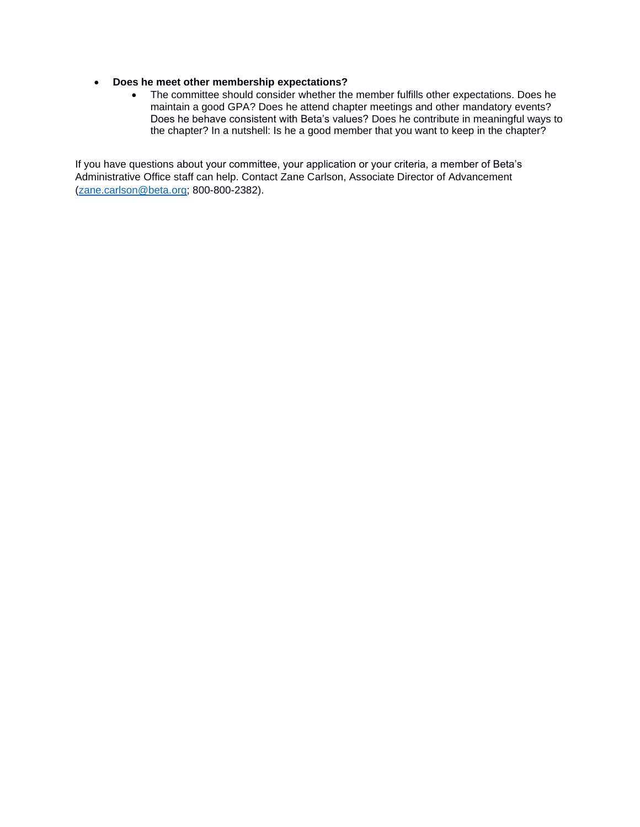#### • **Does he meet other membership expectations?**

• The committee should consider whether the member fulfills other expectations. Does he maintain a good GPA? Does he attend chapter meetings and other mandatory events? Does he behave consistent with Beta's values? Does he contribute in meaningful ways to the chapter? In a nutshell: Is he a good member that you want to keep in the chapter?

If you have questions about your committee, your application or your criteria, a member of Beta's Administrative Office staff can help. Contact Zane Carlson, Associate Director of Advancement [\(zane.carlson@beta.org;](mailto:zane.carlson@beta.org) 800-800-2382).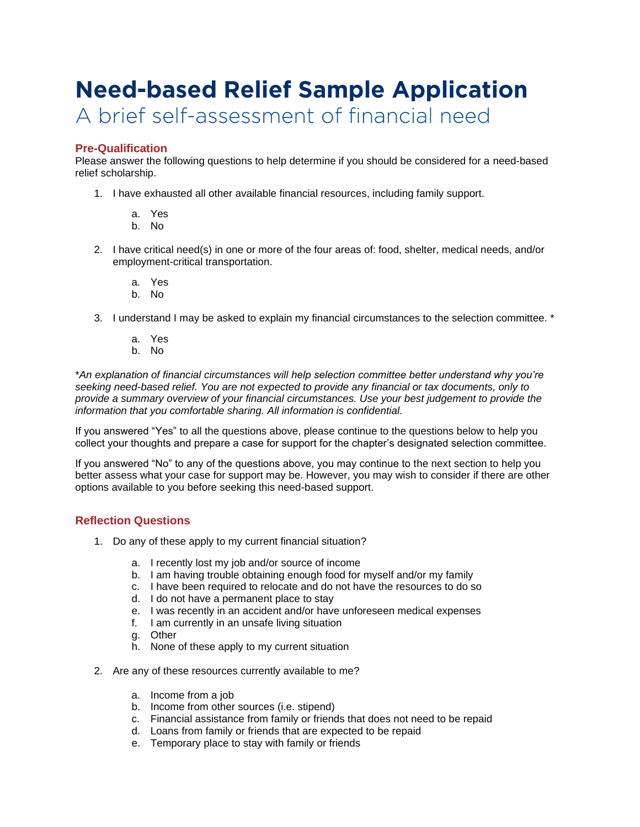## **Need-based Relief Sample Application** A brief self-assessment of financial need

## **Pre-Qualification**

Please answer the following questions to help determine if you should be considered for a need-based relief scholarship.

- 1. I have exhausted all other available financial resources, including family support.
	- a. Yes
	- b. No
- 2. I have critical need(s) in one or more of the four areas of: food, shelter, medical needs, and/or employment-critical transportation.
	- a. Yes
	- b. No
- 3. I understand I may be asked to explain my financial circumstances to the selection committee. \*
	- a. Yes
	- b. No

\**An explanation of financial circumstances will help selection committee better understand why you're seeking need-based relief. You are not expected to provide any financial or tax documents, only to provide a summary overview of your financial circumstances. Use your best judgement to provide the information that you comfortable sharing. All information is confidential.*

If you answered "Yes" to all the questions above, please continue to the questions below to help you collect your thoughts and prepare a case for support for the chapter's designated selection committee.

If you answered "No" to any of the questions above, you may continue to the next section to help you better assess what your case for support may be. However, you may wish to consider if there are other options available to you before seeking this need-based support.

## **Reflection Questions**

- 1. Do any of these apply to my current financial situation?
	- a. I recently lost my job and/or source of income
	- b. I am having trouble obtaining enough food for myself and/or my family
	- c. I have been required to relocate and do not have the resources to do so
	- d. I do not have a permanent place to stay
	- e. I was recently in an accident and/or have unforeseen medical expenses
	- f. I am currently in an unsafe living situation
	- g. Other
	- h. None of these apply to my current situation
- 2. Are any of these resources currently available to me?
	- a. Income from a job
	- b. Income from other sources (i.e. stipend)
	- c. Financial assistance from family or friends that does not need to be repaid
	- d. Loans from family or friends that are expected to be repaid
	- e. Temporary place to stay with family or friends